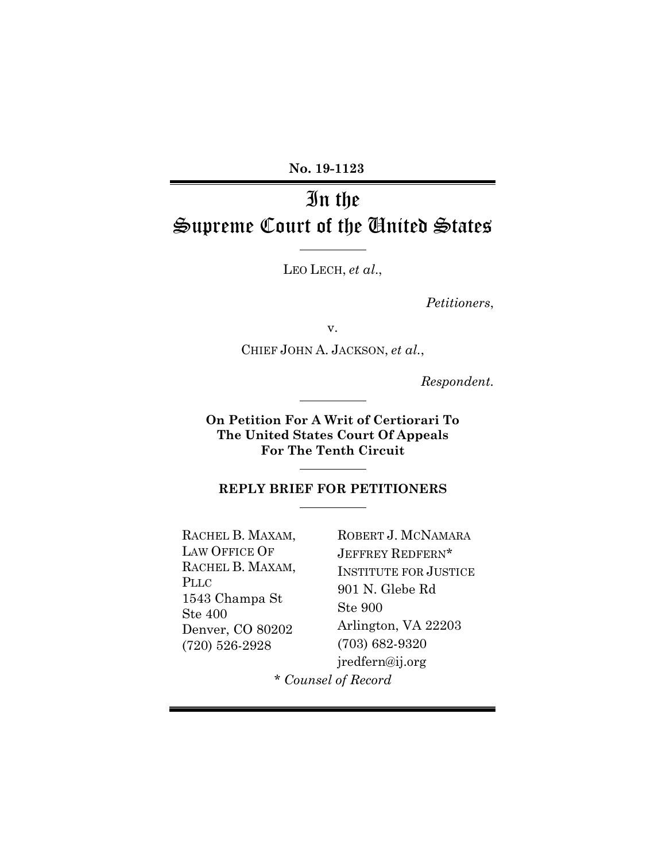**No. 19-1123** 

# In the Supreme Court of the United States

LEO LECH, *et al*.,

*Petitioners*,

v.

CHIEF JOHN A. JACKSON, *et al.*,

*Respondent.*

**On Petition For A Writ of Certiorari To The United States Court Of Appeals For The Tenth Circuit** 

## **REPLY BRIEF FOR PETITIONERS**

RACHEL B. MAXAM, LAW OFFICE OF RACHEL B. MAXAM, PLLC 1543 Champa St Ste 400 Denver, CO 80202 (720) 526-2928

ROBERT J. MCNAMARA JEFFREY REDFERN\* INSTITUTE FOR JUSTICE 901 N. Glebe Rd Ste 900 Arlington, VA 22203 (703) 682-9320 jredfern@ij.org

*\* Counsel of Record*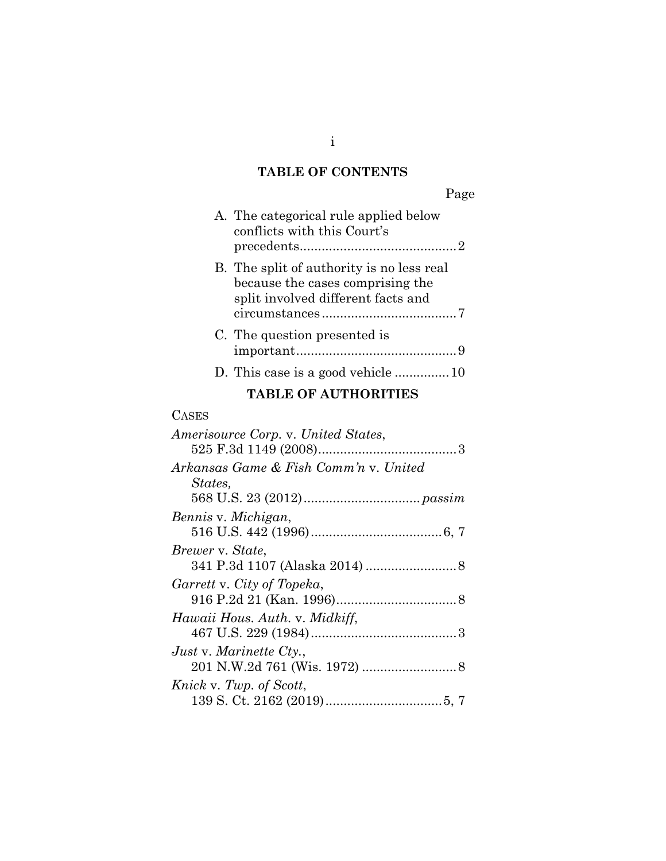# **TABLE OF CONTENTS**

i

| Page                                                                                                                |  |  |  |  |
|---------------------------------------------------------------------------------------------------------------------|--|--|--|--|
| A. The categorical rule applied below<br>conflicts with this Court's                                                |  |  |  |  |
| B. The split of authority is no less real<br>because the cases comprising the<br>split involved different facts and |  |  |  |  |
| C. The question presented is                                                                                        |  |  |  |  |
|                                                                                                                     |  |  |  |  |
| <b>TABLE OF AUTHORITIES</b>                                                                                         |  |  |  |  |
| <b>CASES</b>                                                                                                        |  |  |  |  |
| Amerisource Corp. v. United States,<br>Arkansas Game & Fish Comm'n v. United                                        |  |  |  |  |
| States,                                                                                                             |  |  |  |  |
| Bennis v. Michigan,                                                                                                 |  |  |  |  |
| <i>Brewer</i> v. <i>State</i> ,                                                                                     |  |  |  |  |
| Garrett v. City of Topeka,                                                                                          |  |  |  |  |
| Hawaii Hous. Auth. v. Midkiff,                                                                                      |  |  |  |  |
| <i>Just v. Marinette Cty.,</i>                                                                                      |  |  |  |  |

201 N.W.2d 761 (Wis. 1972) .......................... 8

139 S. Ct. 2162 (2019) ................................ 5, 7

*Knick* v. *Twp. of Scott*,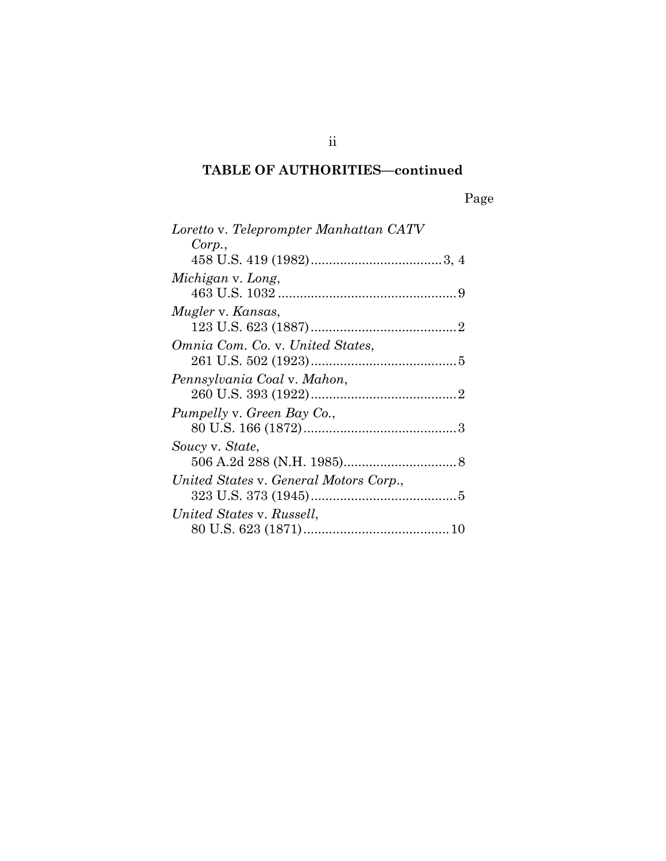# **TABLE OF AUTHORITIES—continued**

Page

| Loretto v. Teleprompter Manhattan CATV |  |
|----------------------------------------|--|
| Corp.,                                 |  |
|                                        |  |
| Michigan v. Long,                      |  |
|                                        |  |
| Mugler v. Kansas,                      |  |
|                                        |  |
| Omnia Com. Co. v. United States,       |  |
|                                        |  |
| Pennsylvania Coal v. Mahon,            |  |
|                                        |  |
| Pumpelly v. Green Bay Co.,             |  |
|                                        |  |
| Soucy v. State,                        |  |
|                                        |  |
| United States v. General Motors Corp., |  |
|                                        |  |
| United States v. Russell,              |  |
|                                        |  |

ii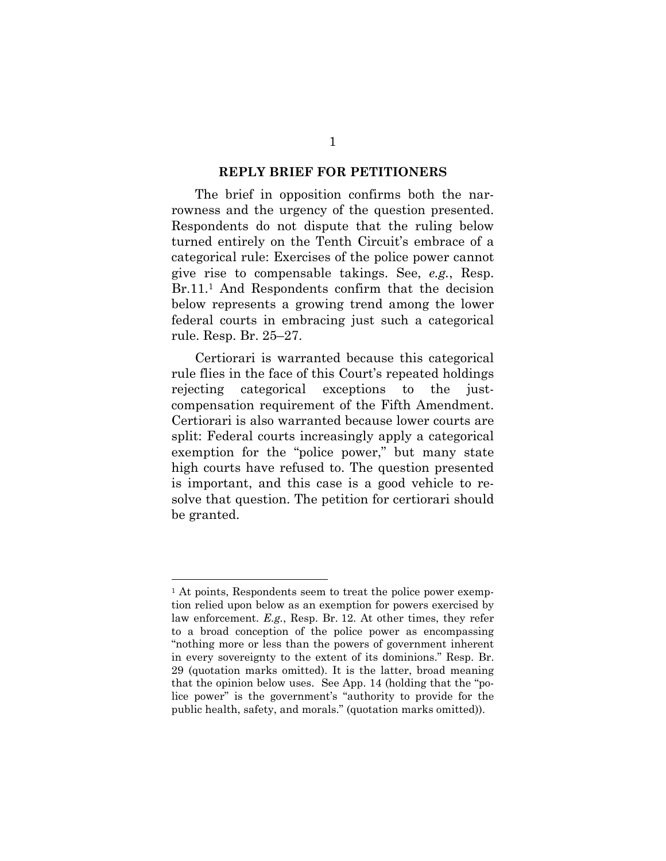#### **REPLY BRIEF FOR PETITIONERS**

The brief in opposition confirms both the narrowness and the urgency of the question presented. Respondents do not dispute that the ruling below turned entirely on the Tenth Circuit's embrace of a categorical rule: Exercises of the police power cannot give rise to compensable takings. See, *e.g.*, Resp. Br.11.<sup>1</sup> And Respondents confirm that the decision below represents a growing trend among the lower federal courts in embracing just such a categorical rule. Resp. Br. 25–27.

Certiorari is warranted because this categorical rule flies in the face of this Court's repeated holdings rejecting categorical exceptions to the justcompensation requirement of the Fifth Amendment. Certiorari is also warranted because lower courts are split: Federal courts increasingly apply a categorical exemption for the "police power," but many state high courts have refused to. The question presented is important, and this case is a good vehicle to resolve that question. The petition for certiorari should be granted.

<sup>&</sup>lt;sup>1</sup> At points, Respondents seem to treat the police power exemption relied upon below as an exemption for powers exercised by law enforcement. *E.g.*, Resp. Br. 12. At other times, they refer to a broad conception of the police power as encompassing "nothing more or less than the powers of government inherent in every sovereignty to the extent of its dominions." Resp. Br. 29 (quotation marks omitted). It is the latter, broad meaning that the opinion below uses. See App. 14 (holding that the "police power" is the government's "authority to provide for the public health, safety, and morals." (quotation marks omitted)).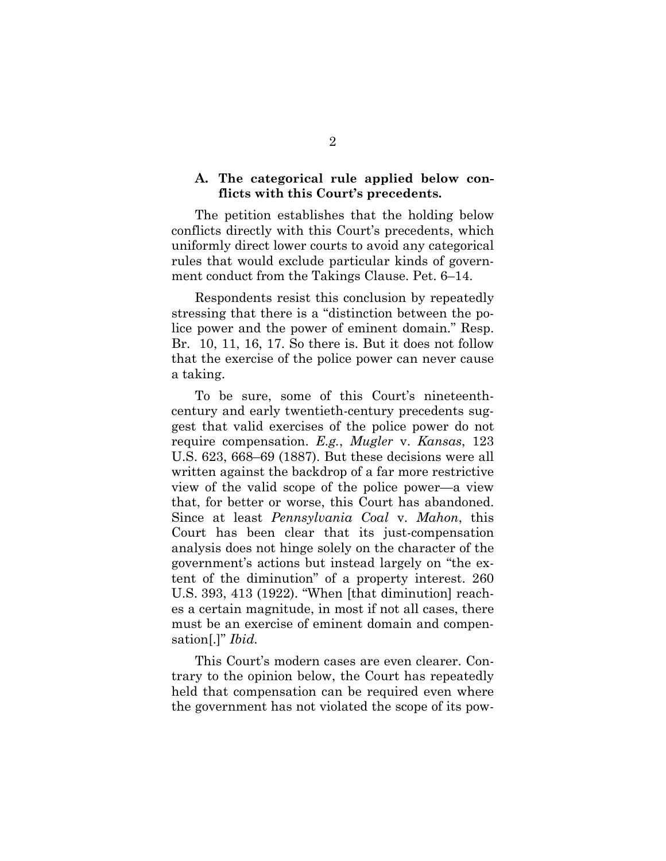## **A. The categorical rule applied below conflicts with this Court's precedents.**

The petition establishes that the holding below conflicts directly with this Court's precedents, which uniformly direct lower courts to avoid any categorical rules that would exclude particular kinds of government conduct from the Takings Clause. Pet. 6–14.

Respondents resist this conclusion by repeatedly stressing that there is a "distinction between the police power and the power of eminent domain." Resp. Br. 10, 11, 16, 17. So there is. But it does not follow that the exercise of the police power can never cause a taking.

To be sure, some of this Court's nineteenthcentury and early twentieth-century precedents suggest that valid exercises of the police power do not require compensation. *E.g.*, *Mugler* v. *Kansas*, 123 U.S. 623, 668–69 (1887). But these decisions were all written against the backdrop of a far more restrictive view of the valid scope of the police power—a view that, for better or worse, this Court has abandoned. Since at least *Pennsylvania Coal* v. *Mahon*, this Court has been clear that its just-compensation analysis does not hinge solely on the character of the government's actions but instead largely on "the extent of the diminution" of a property interest. 260 U.S. 393, 413 (1922). "When [that diminution] reaches a certain magnitude, in most if not all cases, there must be an exercise of eminent domain and compensation[.]" *Ibid.* 

This Court's modern cases are even clearer. Contrary to the opinion below, the Court has repeatedly held that compensation can be required even where the government has not violated the scope of its pow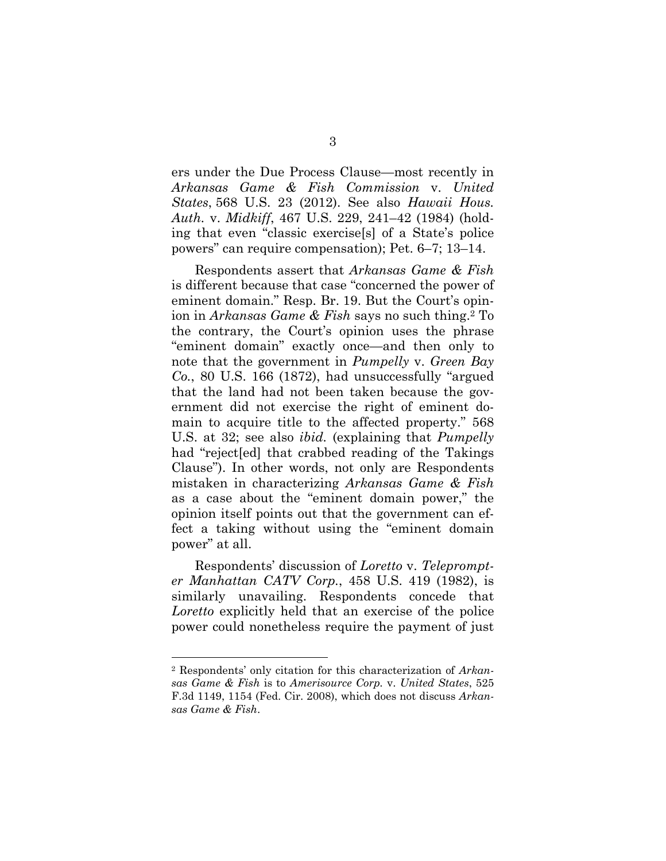ers under the Due Process Clause—most recently in *Arkansas Game & Fish Commission* v. *United States*, 568 U.S. 23 (2012). See also *Hawaii Hous. Auth.* v. *Midkiff*, 467 U.S. 229, 241–42 (1984) (holding that even "classic exercise[s] of a State's police powers" can require compensation); Pet. 6–7; 13–14.

Respondents assert that *Arkansas Game & Fish*  is different because that case "concerned the power of eminent domain." Resp. Br. 19. But the Court's opinion in *Arkansas Game & Fish* says no such thing.2 To the contrary, the Court's opinion uses the phrase "eminent domain" exactly once—and then only to note that the government in *Pumpelly* v. *Green Bay Co.*, 80 U.S. 166 (1872), had unsuccessfully "argued that the land had not been taken because the government did not exercise the right of eminent domain to acquire title to the affected property." 568 U.S. at 32; see also *ibid.* (explaining that *Pumpelly* had "reject[ed] that crabbed reading of the Takings Clause"). In other words, not only are Respondents mistaken in characterizing *Arkansas Game & Fish*  as a case about the "eminent domain power," the opinion itself points out that the government can effect a taking without using the "eminent domain power" at all.

Respondents' discussion of *Loretto* v. *Teleprompter Manhattan CATV Corp.*, 458 U.S. 419 (1982), is similarly unavailing. Respondents concede that *Loretto* explicitly held that an exercise of the police power could nonetheless require the payment of just

<sup>2</sup> Respondents' only citation for this characterization of *Arkansas Game & Fish* is to *Amerisource Corp.* v. *United States*, 525 F.3d 1149, 1154 (Fed. Cir. 2008), which does not discuss *Arkansas Game & Fish*.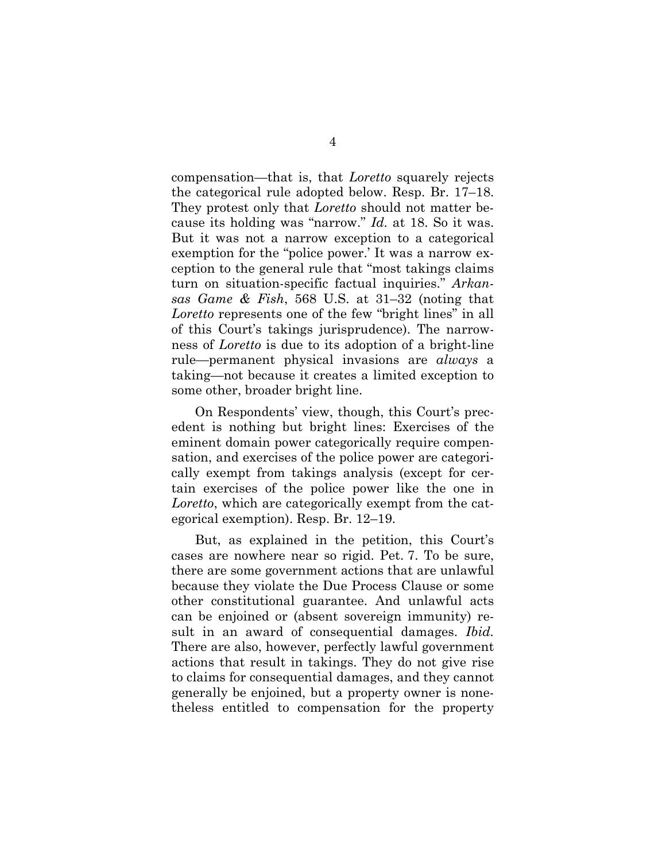compensation—that is, that *Loretto* squarely rejects the categorical rule adopted below. Resp. Br. 17–18. They protest only that *Loretto* should not matter because its holding was "narrow." *Id.* at 18. So it was. But it was not a narrow exception to a categorical exemption for the "police power.' It was a narrow exception to the general rule that "most takings claims turn on situation-specific factual inquiries." *Arkansas Game & Fish*, 568 U.S. at 31–32 (noting that *Loretto* represents one of the few "bright lines" in all of this Court's takings jurisprudence). The narrowness of *Loretto* is due to its adoption of a bright-line rule—permanent physical invasions are *always* a taking—not because it creates a limited exception to some other, broader bright line.

On Respondents' view, though, this Court's precedent is nothing but bright lines: Exercises of the eminent domain power categorically require compensation, and exercises of the police power are categorically exempt from takings analysis (except for certain exercises of the police power like the one in *Loretto*, which are categorically exempt from the categorical exemption). Resp. Br. 12–19.

But, as explained in the petition, this Court's cases are nowhere near so rigid. Pet. 7. To be sure, there are some government actions that are unlawful because they violate the Due Process Clause or some other constitutional guarantee. And unlawful acts can be enjoined or (absent sovereign immunity) result in an award of consequential damages. *Ibid.*  There are also, however, perfectly lawful government actions that result in takings. They do not give rise to claims for consequential damages, and they cannot generally be enjoined, but a property owner is nonetheless entitled to compensation for the property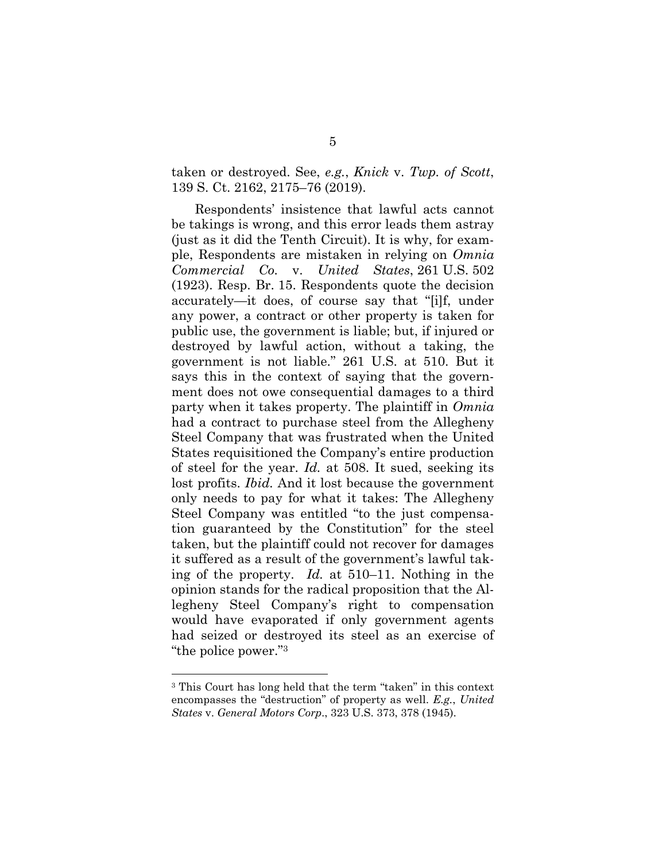taken or destroyed. See, *e.g.*, *Knick* v. *Twp. of Scott*, 139 S. Ct. 2162, 2175–76 (2019).

Respondents' insistence that lawful acts cannot be takings is wrong, and this error leads them astray (just as it did the Tenth Circuit). It is why, for example, Respondents are mistaken in relying on *Omnia Commercial Co.* v. *United States*, 261 U.S. 502 (1923). Resp. Br. 15. Respondents quote the decision accurately—it does, of course say that "[i]f, under any power, a contract or other property is taken for public use, the government is liable; but, if injured or destroyed by lawful action, without a taking, the government is not liable." 261 U.S. at 510. But it says this in the context of saying that the government does not owe consequential damages to a third party when it takes property. The plaintiff in *Omnia*  had a contract to purchase steel from the Allegheny Steel Company that was frustrated when the United States requisitioned the Company's entire production of steel for the year. *Id.* at 508. It sued, seeking its lost profits. *Ibid.* And it lost because the government only needs to pay for what it takes: The Allegheny Steel Company was entitled "to the just compensation guaranteed by the Constitution" for the steel taken, but the plaintiff could not recover for damages it suffered as a result of the government's lawful taking of the property. *Id.* at 510–11. Nothing in the opinion stands for the radical proposition that the Allegheny Steel Company's right to compensation would have evaporated if only government agents had seized or destroyed its steel as an exercise of "the police power."3

<sup>3</sup> This Court has long held that the term "taken" in this context encompasses the "destruction" of property as well. *E.g.*, *United States* v. *General Motors Corp*., 323 U.S. 373, 378 (1945).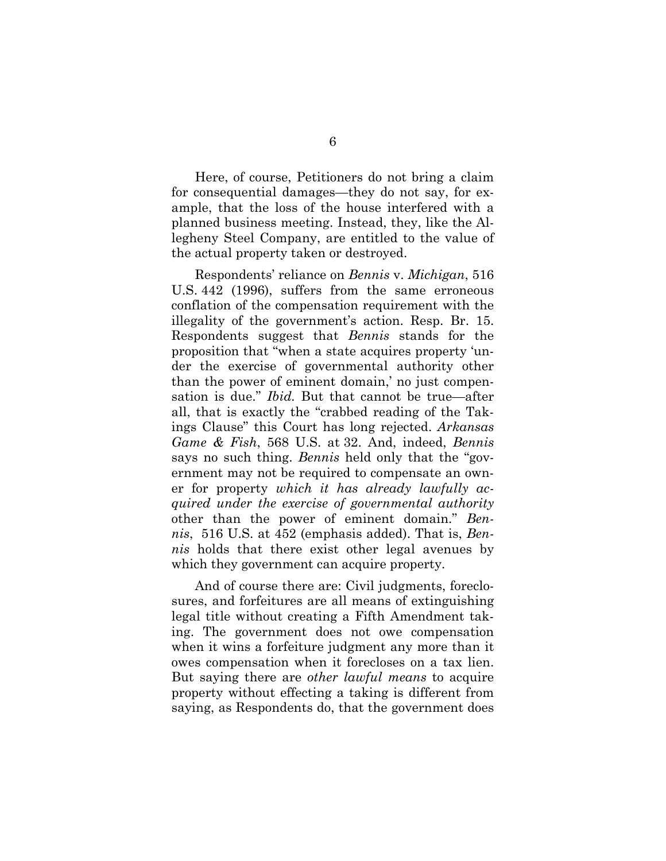Here, of course, Petitioners do not bring a claim for consequential damages—they do not say, for example, that the loss of the house interfered with a planned business meeting. Instead, they, like the Allegheny Steel Company, are entitled to the value of the actual property taken or destroyed.

Respondents' reliance on *Bennis* v. *Michigan*, 516 U.S. 442 (1996), suffers from the same erroneous conflation of the compensation requirement with the illegality of the government's action. Resp. Br. 15. Respondents suggest that *Bennis* stands for the proposition that "when a state acquires property 'under the exercise of governmental authority other than the power of eminent domain,' no just compensation is due." *Ibid.* But that cannot be true—after all, that is exactly the "crabbed reading of the Takings Clause" this Court has long rejected. *Arkansas Game & Fish*, 568 U.S. at 32. And, indeed, *Bennis*  says no such thing. *Bennis* held only that the "government may not be required to compensate an owner for property *which it has already lawfully acquired under the exercise of governmental authority* other than the power of eminent domain." *Bennis*, 516 U.S. at 452 (emphasis added). That is, *Bennis* holds that there exist other legal avenues by which they government can acquire property.

And of course there are: Civil judgments, foreclosures, and forfeitures are all means of extinguishing legal title without creating a Fifth Amendment taking. The government does not owe compensation when it wins a forfeiture judgment any more than it owes compensation when it forecloses on a tax lien. But saying there are *other lawful means* to acquire property without effecting a taking is different from saying, as Respondents do, that the government does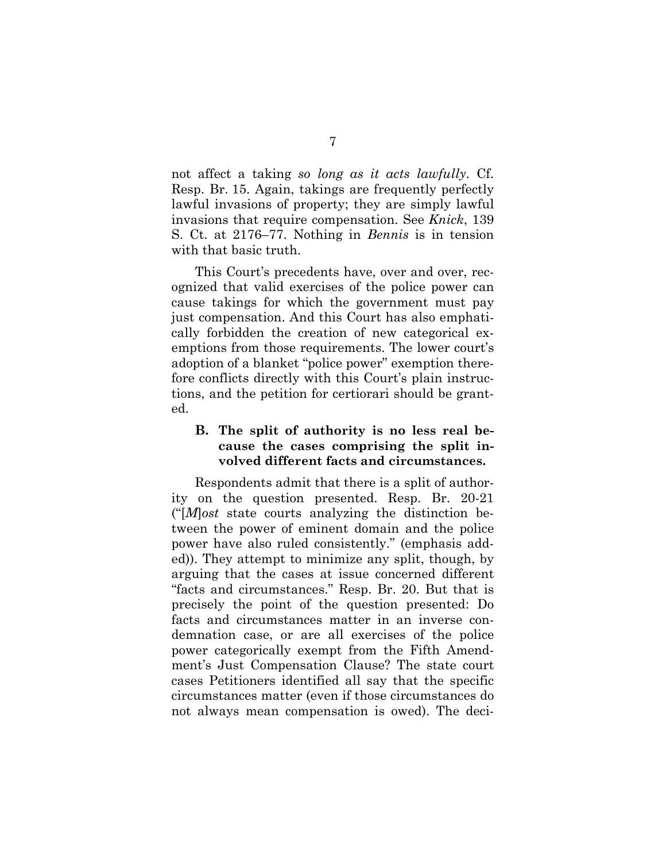not affect a taking *so long as it acts lawfully*. Cf. Resp. Br. 15. Again, takings are frequently perfectly lawful invasions of property; they are simply lawful invasions that require compensation. See *Knick*, 139 S. Ct. at 2176–77. Nothing in *Bennis* is in tension with that basic truth.

This Court's precedents have, over and over, recognized that valid exercises of the police power can cause takings for which the government must pay just compensation. And this Court has also emphatically forbidden the creation of new categorical exemptions from those requirements. The lower court's adoption of a blanket "police power" exemption therefore conflicts directly with this Court's plain instructions, and the petition for certiorari should be granted.

# **B. The split of authority is no less real because the cases comprising the split involved different facts and circumstances.**

Respondents admit that there is a split of authority on the question presented. Resp. Br. 20-21 ("[*M*]*ost* state courts analyzing the distinction between the power of eminent domain and the police power have also ruled consistently." (emphasis added)). They attempt to minimize any split, though, by arguing that the cases at issue concerned different "facts and circumstances." Resp. Br. 20. But that is precisely the point of the question presented: Do facts and circumstances matter in an inverse condemnation case, or are all exercises of the police power categorically exempt from the Fifth Amendment's Just Compensation Clause? The state court cases Petitioners identified all say that the specific circumstances matter (even if those circumstances do not always mean compensation is owed). The deci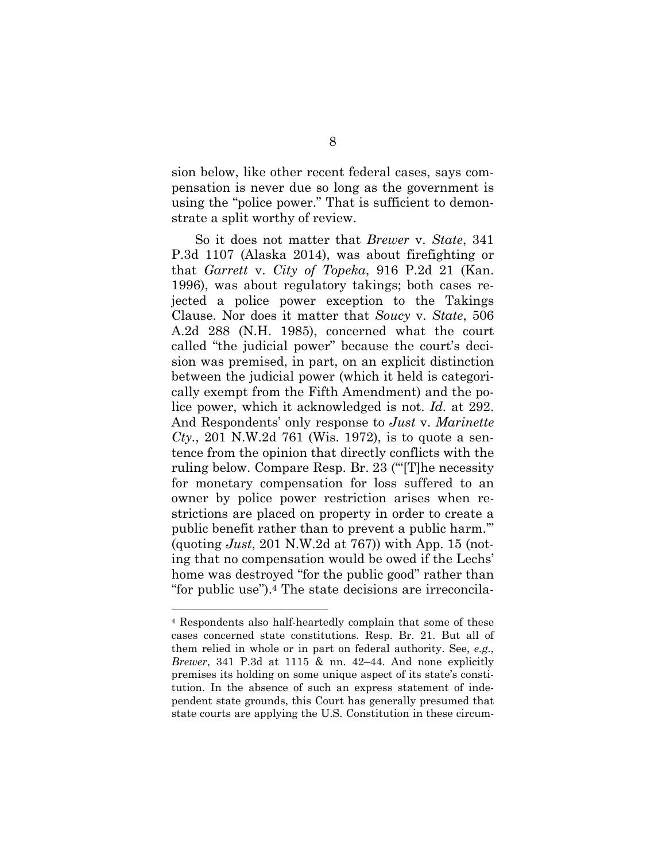sion below, like other recent federal cases, says compensation is never due so long as the government is using the "police power." That is sufficient to demonstrate a split worthy of review.

So it does not matter that *Brewer* v. *State*, 341 P.3d 1107 (Alaska 2014), was about firefighting or that *Garrett* v. *City of Topeka*, 916 P.2d 21 (Kan. 1996), was about regulatory takings; both cases rejected a police power exception to the Takings Clause. Nor does it matter that *Soucy* v. *State*, 506 A.2d 288 (N.H. 1985), concerned what the court called "the judicial power" because the court's decision was premised, in part, on an explicit distinction between the judicial power (which it held is categorically exempt from the Fifth Amendment) and the police power, which it acknowledged is not. *Id.* at 292. And Respondents' only response to *Just* v. *Marinette Cty.*, 201 N.W.2d 761 (Wis. 1972), is to quote a sentence from the opinion that directly conflicts with the ruling below. Compare Resp. Br. 23 ("'[T]he necessity for monetary compensation for loss suffered to an owner by police power restriction arises when restrictions are placed on property in order to create a public benefit rather than to prevent a public harm.'" (quoting *Just*, 201 N.W.2d at 767)) with App. 15 (noting that no compensation would be owed if the Lechs' home was destroyed "for the public good" rather than "for public use").4 The state decisions are irreconcila-

<sup>4</sup> Respondents also half-heartedly complain that some of these cases concerned state constitutions. Resp. Br. 21. But all of them relied in whole or in part on federal authority. See, *e.g.*, *Brewer*, 341 P.3d at 1115 & nn. 42–44. And none explicitly premises its holding on some unique aspect of its state's constitution. In the absence of such an express statement of independent state grounds, this Court has generally presumed that state courts are applying the U.S. Constitution in these circum-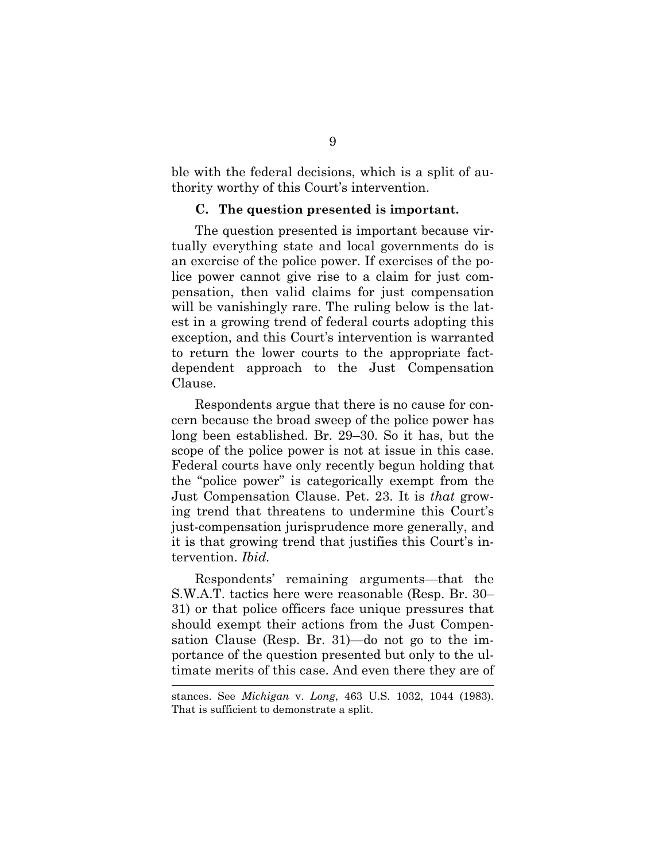ble with the federal decisions, which is a split of authority worthy of this Court's intervention.

#### **C. The question presented is important.**

The question presented is important because virtually everything state and local governments do is an exercise of the police power. If exercises of the police power cannot give rise to a claim for just compensation, then valid claims for just compensation will be vanishingly rare. The ruling below is the latest in a growing trend of federal courts adopting this exception, and this Court's intervention is warranted to return the lower courts to the appropriate factdependent approach to the Just Compensation Clause.

Respondents argue that there is no cause for concern because the broad sweep of the police power has long been established. Br. 29–30. So it has, but the scope of the police power is not at issue in this case. Federal courts have only recently begun holding that the "police power" is categorically exempt from the Just Compensation Clause. Pet. 23. It is *that* growing trend that threatens to undermine this Court's just-compensation jurisprudence more generally, and it is that growing trend that justifies this Court's intervention. *Ibid.* 

Respondents' remaining arguments—that the S.W.A.T. tactics here were reasonable (Resp. Br. 30– 31) or that police officers face unique pressures that should exempt their actions from the Just Compensation Clause (Resp. Br. 31)—do not go to the importance of the question presented but only to the ultimate merits of this case. And even there they are of

stances. See *Michigan* v. *Long*, 463 U.S. 1032, 1044 (1983). That is sufficient to demonstrate a split.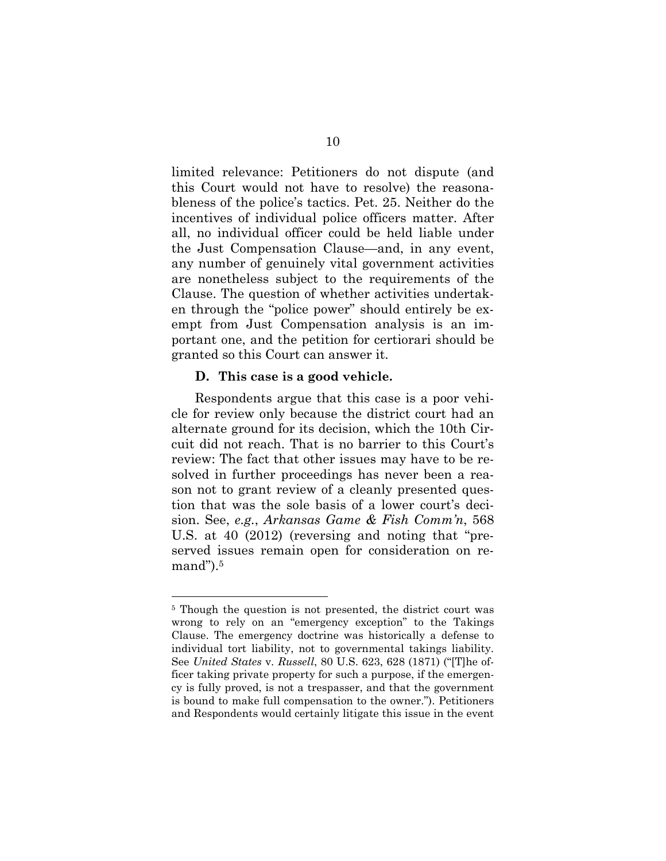limited relevance: Petitioners do not dispute (and this Court would not have to resolve) the reasonableness of the police's tactics. Pet. 25. Neither do the incentives of individual police officers matter. After all, no individual officer could be held liable under the Just Compensation Clause—and, in any event, any number of genuinely vital government activities are nonetheless subject to the requirements of the Clause. The question of whether activities undertaken through the "police power" should entirely be exempt from Just Compensation analysis is an important one, and the petition for certiorari should be granted so this Court can answer it.

### **D. This case is a good vehicle.**

Respondents argue that this case is a poor vehicle for review only because the district court had an alternate ground for its decision, which the 10th Circuit did not reach. That is no barrier to this Court's review: The fact that other issues may have to be resolved in further proceedings has never been a reason not to grant review of a cleanly presented question that was the sole basis of a lower court's decision. See, *e.g.*, *Arkansas Game & Fish Comm'n*, 568 U.S. at 40 (2012) (reversing and noting that "preserved issues remain open for consideration on re $mand$ ").<sup>5</sup>

<sup>&</sup>lt;sup>5</sup> Though the question is not presented, the district court was wrong to rely on an "emergency exception" to the Takings Clause. The emergency doctrine was historically a defense to individual tort liability, not to governmental takings liability. See *United States* v. *Russell*, 80 U.S. 623, 628 (1871) ("[T]he officer taking private property for such a purpose, if the emergency is fully proved, is not a trespasser, and that the government is bound to make full compensation to the owner."). Petitioners and Respondents would certainly litigate this issue in the event